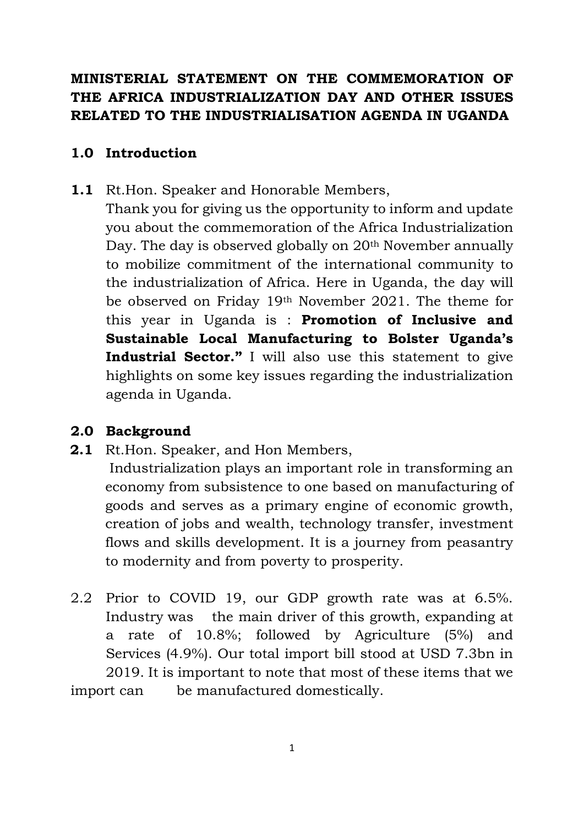## **MINISTERIAL STATEMENT ON THE COMMEMORATION OF THE AFRICA INDUSTRIALIZATION DAY AND OTHER ISSUES RELATED TO THE INDUSTRIALISATION AGENDA IN UGANDA**

#### **1.0 Introduction**

**1.1** Rt.Hon. Speaker and Honorable Members,

Thank you for giving us the opportunity to inform and update you about the commemoration of the Africa Industrialization Day. The day is observed globally on 20<sup>th</sup> November annually to mobilize commitment of the international community to the industrialization of Africa. Here in Uganda, the day will be observed on Friday 19th November 2021. The theme for this year in Uganda is : **Promotion of Inclusive and Sustainable Local Manufacturing to Bolster Uganda's Industrial Sector."** I will also use this statement to give highlights on some key issues regarding the industrialization agenda in Uganda.

#### **2.0 Background**

**2.1** Rt.Hon. Speaker, and Hon Members,

Industrialization plays an important role in transforming an economy from subsistence to one based on manufacturing of goods and serves as a primary engine of economic growth, creation of jobs and wealth, technology transfer, investment flows and skills development. It is a journey from peasantry to modernity and from poverty to prosperity.

2.2 Prior to COVID 19, our GDP growth rate was at 6.5%. Industry was the main driver of this growth, expanding at a rate of 10.8%; followed by Agriculture (5%) and Services (4.9%). Our total import bill stood at USD 7.3bn in 2019. It is important to note that most of these items that we import can be manufactured domestically.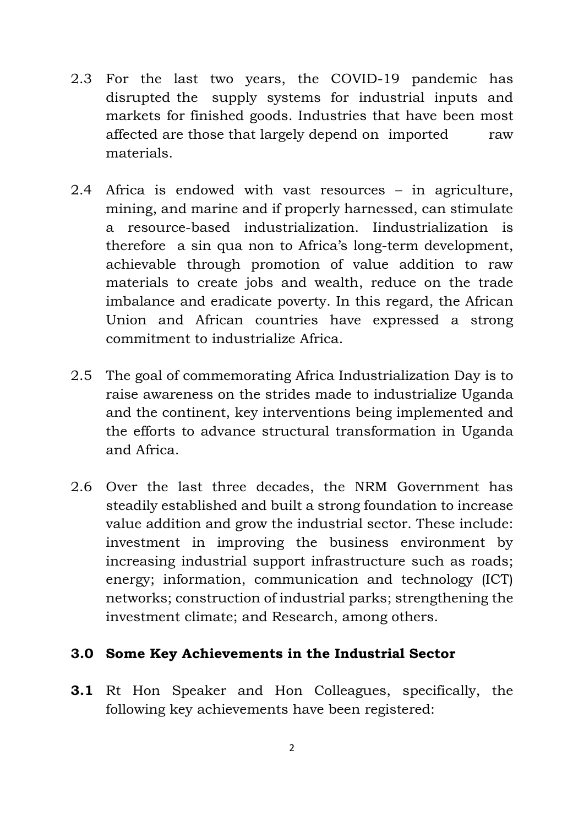- 2.3 For the last two years, the COVID-19 pandemic has disrupted the supply systems for industrial inputs and markets for finished goods. Industries that have been most affected are those that largely depend on imported raw materials.
- 2.4 Africa is endowed with vast resources in agriculture, mining, and marine and if properly harnessed, can stimulate a resource-based industrialization. Iindustrialization is therefore a sin qua non to Africa's long-term development, achievable through promotion of value addition to raw materials to create jobs and wealth, reduce on the trade imbalance and eradicate poverty. In this regard, the African Union and African countries have expressed a strong commitment to industrialize Africa.
- 2.5 The goal of commemorating Africa Industrialization Day is to raise awareness on the strides made to industrialize Uganda and the continent, key interventions being implemented and the efforts to advance structural transformation in Uganda and Africa.
- 2.6 Over the last three decades, the NRM Government has steadily established and built a strong foundation to increase value addition and grow the industrial sector. These include: investment in improving the business environment by increasing industrial support infrastructure such as roads; energy; information, communication and technology (ICT) networks; construction of industrial parks; strengthening the investment climate; and Research, among others.

#### **3.0 Some Key Achievements in the Industrial Sector**

**3.1** Rt Hon Speaker and Hon Colleagues, specifically, the following key achievements have been registered: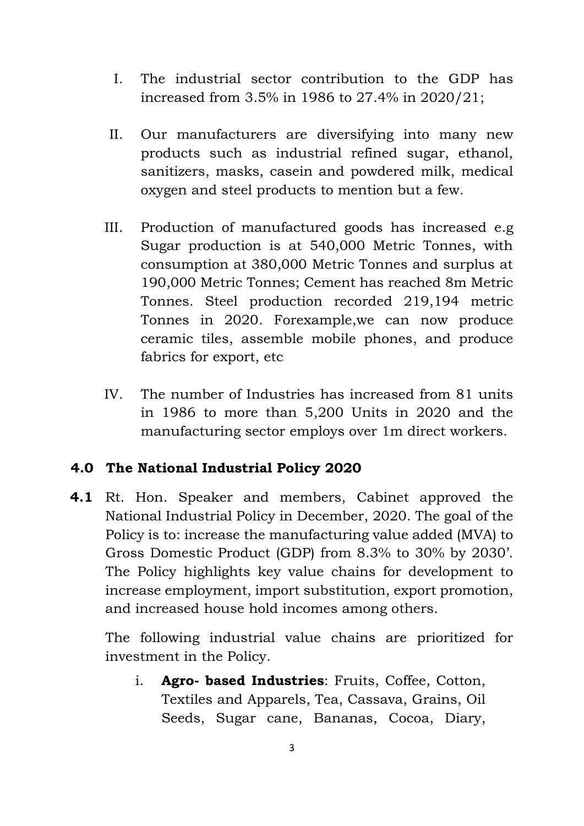- I. The industrial sector contribution to the GDP has increased from 3.5% in 1986 to 27.4% in 2020/21;
- II. Our manufacturers are diversifying into many new products such as industrial refined sugar, ethanol, sanitizers, masks, casein and powdered milk, medical oxygen and steel products to mention but a few.
- III. Production of manufactured goods has increased e.g Sugar production is at 540,000 Metric Tonnes, with consumption at 380,000 Metric Tonnes and surplus at 190,000 Metric Tonnes; Cement has reached 8m Metric Tonnes. Steel production recorded 219,194 metric Tonnes in 2020. Forexample,we can now produce ceramic tiles, assemble mobile phones, and produce fabrics for export, etc
- IV. The number of Industries has increased from 81 units in 1986 to more than 5,200 Units in 2020 and the manufacturing sector employs over 1m direct workers.

#### **4.0 The National Industrial Policy 2020**

**4.1** Rt. Hon. Speaker and members, Cabinet approved the National Industrial Policy in December, 2020. The goal of the Policy is to: increase the manufacturing value added (MVA) to Gross Domestic Product (GDP) from 8.3% to 30% by 2030'. The Policy highlights key value chains for development to increase employment, import substitution, export promotion, and increased house hold incomes among others.

The following industrial value chains are prioritized for investment in the Policy.

i. **Agro- based Industries**: Fruits, Coffee, Cotton, Textiles and Apparels, Tea, Cassava, Grains, Oil Seeds, Sugar cane, Bananas, Cocoa, Diary,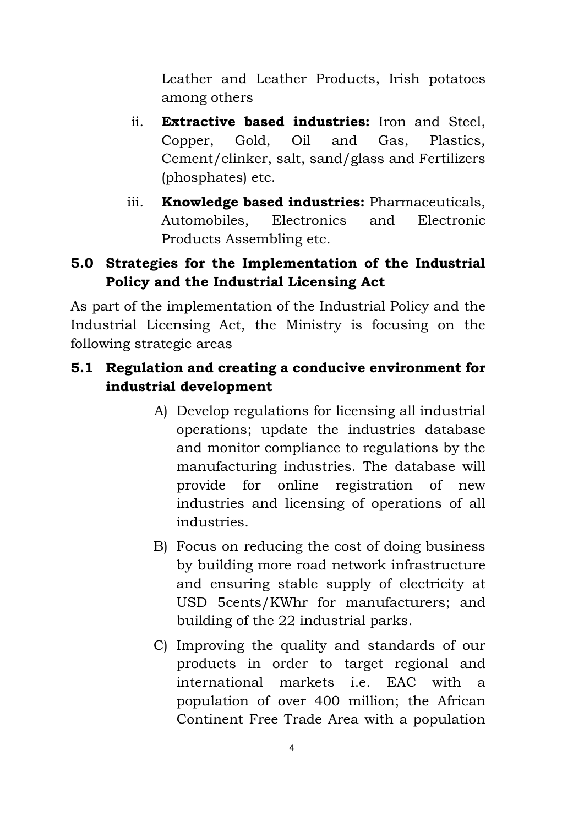Leather and Leather Products, Irish potatoes among others

- ii. **Extractive based industries:** Iron and Steel, Copper, Gold, Oil and Gas, Plastics, Cement/clinker, salt, sand/glass and Fertilizers (phosphates) etc.
- iii. **Knowledge based industries:** Pharmaceuticals, Automobiles, Electronics and Electronic Products Assembling etc.

## **5.0 Strategies for the Implementation of the Industrial Policy and the Industrial Licensing Act**

As part of the implementation of the Industrial Policy and the Industrial Licensing Act, the Ministry is focusing on the following strategic areas

## **5.1 Regulation and creating a conducive environment for industrial development**

- A) Develop regulations for licensing all industrial operations; update the industries database and monitor compliance to regulations by the manufacturing industries. The database will provide for online registration of new industries and licensing of operations of all industries.
- B) Focus on reducing the cost of doing business by building more road network infrastructure and ensuring stable supply of electricity at USD 5cents/KWhr for manufacturers; and building of the 22 industrial parks.
- C) Improving the quality and standards of our products in order to target regional and international markets i.e. EAC with a population of over 400 million; the African Continent Free Trade Area with a population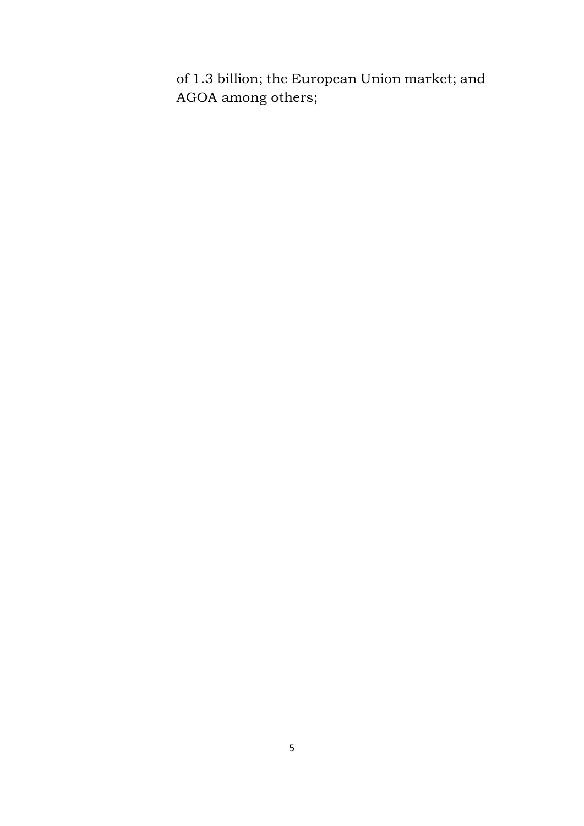of 1.3 billion; the European Union market; and AGOA among others;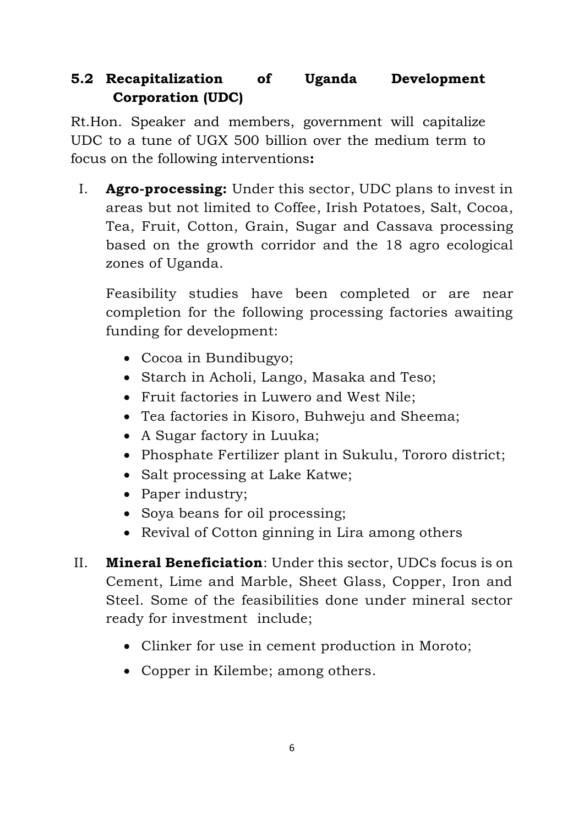# **5.2 Recapitalization of Uganda Development Corporation (UDC)**

Rt.Hon. Speaker and members, government will capitalize UDC to a tune of UGX 500 billion over the medium term to focus on the following interventions**:**

I. **Agro-processing:** Under this sector, UDC plans to invest in areas but not limited to Coffee, Irish Potatoes, Salt, Cocoa, Tea, Fruit, Cotton, Grain, Sugar and Cassava processing based on the growth corridor and the 18 agro ecological zones of Uganda.

Feasibility studies have been completed or are near completion for the following processing factories awaiting funding for development:

- Cocoa in Bundibugyo;
- Starch in Acholi, Lango, Masaka and Teso;
- Fruit factories in Luwero and West Nile;
- Tea factories in Kisoro, Buhweju and Sheema;
- A Sugar factory in Luuka;
- Phosphate Fertilizer plant in Sukulu, Tororo district;
- Salt processing at Lake Katwe;
- Paper industry;
- Soya beans for oil processing;
- Revival of Cotton ginning in Lira among others
- II. **Mineral Beneficiation**: Under this sector, UDCs focus is on Cement, Lime and Marble, Sheet Glass, Copper, Iron and Steel. Some of the feasibilities done under mineral sector ready for investment include;
	- Clinker for use in cement production in Moroto;
	- Copper in Kilembe; among others.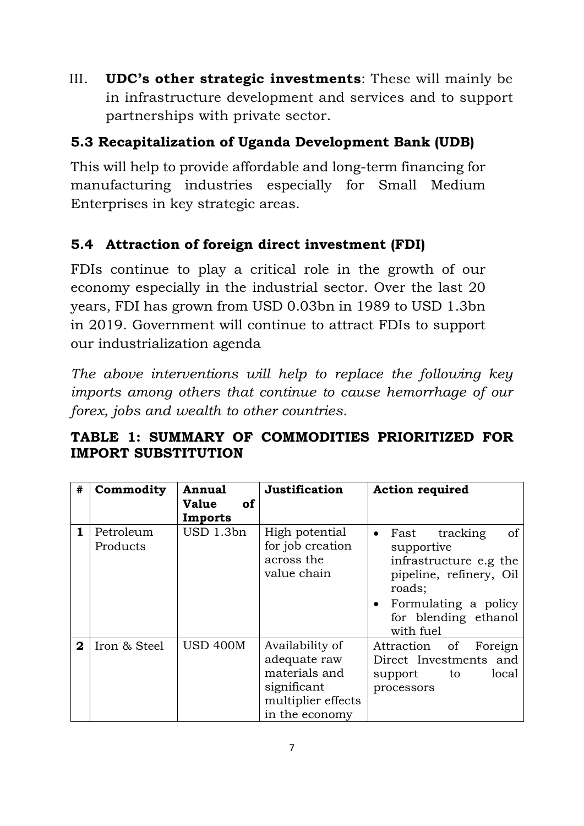III. **UDC's other strategic investments**: These will mainly be in infrastructure development and services and to support partnerships with private sector.

# **5.3 Recapitalization of Uganda Development Bank (UDB)**

This will help to provide affordable and long-term financing for manufacturing industries especially for Small Medium Enterprises in key strategic areas.

# **5.4 Attraction of foreign direct investment (FDI)**

FDIs continue to play a critical role in the growth of our economy especially in the industrial sector. Over the last 20 years, FDI has grown from USD 0.03bn in 1989 to USD 1.3bn in 2019. Government will continue to attract FDIs to support our industrialization agenda

*The above interventions will help to replace the following key imports among others that continue to cause hemorrhage of our forex, jobs and wealth to other countries.* 

# **TABLE 1: SUMMARY OF COMMODITIES PRIORITIZED FOR IMPORT SUBSTITUTION**

| #            | Commodity             | <b>Annual</b><br><b>Value</b><br><b>of</b><br>Imports | <b>Justification</b>                                                                                    | <b>Action required</b>                                                                                                                                                          |
|--------------|-----------------------|-------------------------------------------------------|---------------------------------------------------------------------------------------------------------|---------------------------------------------------------------------------------------------------------------------------------------------------------------------------------|
| 1            | Petroleum<br>Products | USD 1.3bn                                             | High potential<br>for job creation<br>across the<br>value chain                                         | of<br>Fast<br>tracking<br>$\bullet$<br>supportive<br>infrastructure e.g the<br>pipeline, refinery, Oil<br>roads;<br>• Formulating a policy<br>for blending ethanol<br>with fuel |
| $\mathbf{2}$ | Iron & Steel          | <b>USD 400M</b>                                       | Availability of<br>adequate raw<br>materials and<br>significant<br>multiplier effects<br>in the economy | Attraction of Foreign<br>Direct Investments and<br>local<br>support<br>to<br>processors                                                                                         |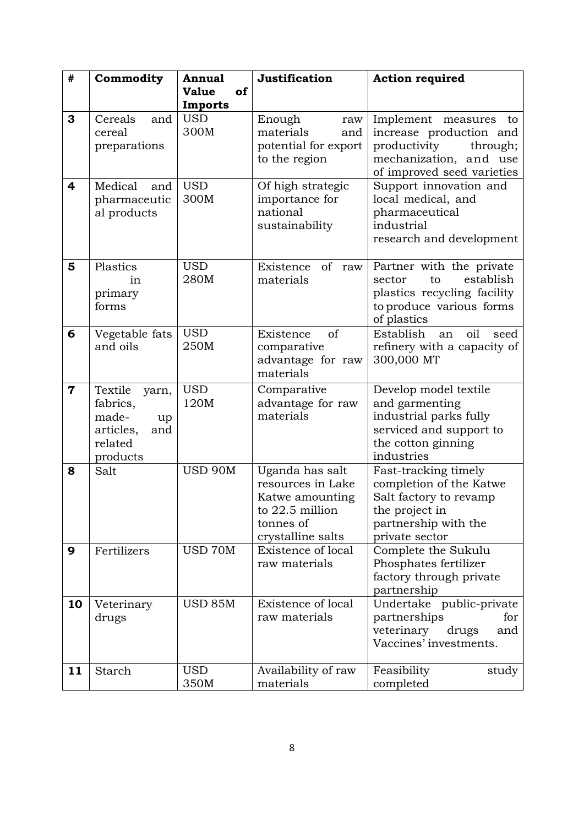| #                       | Commodity                                                                              | <b>Annual</b>                 | Justification                                                                                                | <b>Action required</b>                                                                                                                  |
|-------------------------|----------------------------------------------------------------------------------------|-------------------------------|--------------------------------------------------------------------------------------------------------------|-----------------------------------------------------------------------------------------------------------------------------------------|
|                         |                                                                                        | <b>Value</b><br>of<br>Imports |                                                                                                              |                                                                                                                                         |
| 3                       | Cereals<br>and<br>cereal<br>preparations                                               | <b>USD</b><br>300M            | Enough<br>raw<br>materials<br>and<br>potential for export<br>to the region                                   | Implement measures<br>to<br>increase production and<br>productivity<br>through;<br>mechanization, and use<br>of improved seed varieties |
| $\overline{\mathbf{4}}$ | Medical<br>and<br>pharmaceutic<br>al products                                          | <b>USD</b><br>300M            | Of high strategic<br>importance for<br>national<br>sustainability                                            | Support innovation and<br>local medical, and<br>pharmaceutical<br>industrial<br>research and development                                |
| 5                       | Plastics<br>in<br>primary<br>forms                                                     | <b>USD</b><br>280M            | Existence of raw<br>materials                                                                                | Partner with the private<br>establish<br>sector<br>to<br>plastics recycling facility<br>to produce various forms<br>of plastics         |
| 6                       | Vegetable fats<br>and oils                                                             | <b>USD</b><br>250M            | of<br>Existence<br>comparative<br>advantage for raw<br>materials                                             | Establish<br>oil<br>seed<br>an<br>refinery with a capacity of<br>300,000 MT                                                             |
| $\mathbf 7$             | Textile<br>yarn,<br>fabrics,<br>made-<br>up<br>articles,<br>and<br>related<br>products | <b>USD</b><br>120M            | Comparative<br>advantage for raw<br>materials                                                                | Develop model textile<br>and garmenting<br>industrial parks fully<br>serviced and support to<br>the cotton ginning<br>industries        |
| 8                       | Salt                                                                                   | <b>USD 90M</b>                | Uganda has salt<br>resources in Lake<br>Katwe amounting<br>to 22.5 million<br>tonnes of<br>crystalline salts | Fast-tracking timely<br>completion of the Katwe<br>Salt factory to revamp<br>the project in<br>partnership with the<br>private sector   |
| 9                       | Fertilizers                                                                            | USD 70M                       | Existence of local<br>raw materials                                                                          | Complete the Sukulu<br>Phosphates fertilizer<br>factory through private<br>partnership                                                  |
| 10                      | Veterinary<br>drugs                                                                    | <b>USD 85M</b>                | Existence of local<br>raw materials                                                                          | Undertake public-private<br>partnerships<br>for<br>veterinary<br>drugs<br>and<br>Vaccines' investments.                                 |
| 11                      | Starch                                                                                 | <b>USD</b><br>350M            | Availability of raw<br>materials                                                                             | Feasibility<br>study<br>completed                                                                                                       |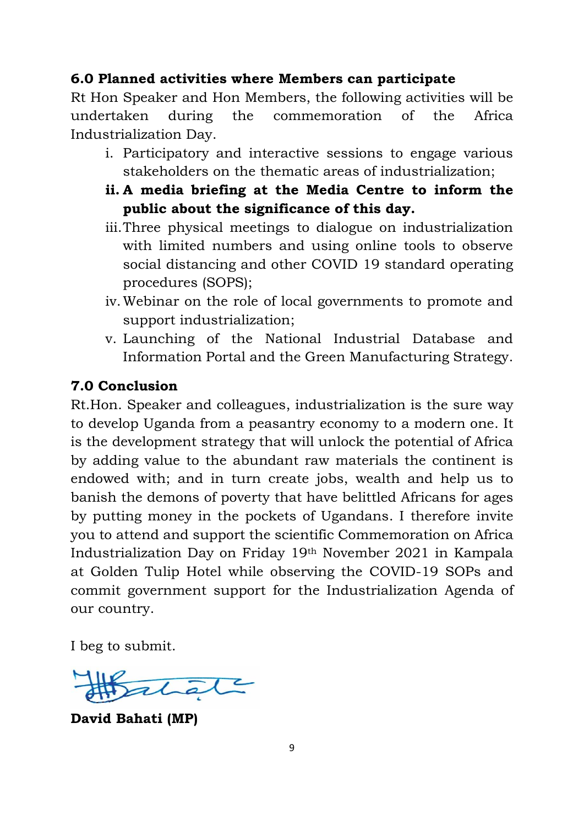#### **6.0 Planned activities where Members can participate**

Rt Hon Speaker and Hon Members, the following activities will be undertaken during the commemoration of the Africa Industrialization Day.

- i. Participatory and interactive sessions to engage various stakeholders on the thematic areas of industrialization;
- **ii. A media briefing at the Media Centre to inform the public about the significance of this day.**
- iii.Three physical meetings to dialogue on industrialization with limited numbers and using online tools to observe social distancing and other COVID 19 standard operating procedures (SOPS);
- iv.Webinar on the role of local governments to promote and support industrialization;
- v. Launching of the National Industrial Database and Information Portal and the Green Manufacturing Strategy.

#### **7.0 Conclusion**

Rt.Hon. Speaker and colleagues, industrialization is the sure way to develop Uganda from a peasantry economy to a modern one. It is the development strategy that will unlock the potential of Africa by adding value to the abundant raw materials the continent is endowed with; and in turn create jobs, wealth and help us to banish the demons of poverty that have belittled Africans for ages by putting money in the pockets of Ugandans. I therefore invite you to attend and support the scientific Commemoration on Africa Industrialization Day on Friday 19th November 2021 in Kampala at Golden Tulip Hotel while observing the COVID-19 SOPs and commit government support for the Industrialization Agenda of our country.

I beg to submit.

**David Bahati (MP)**